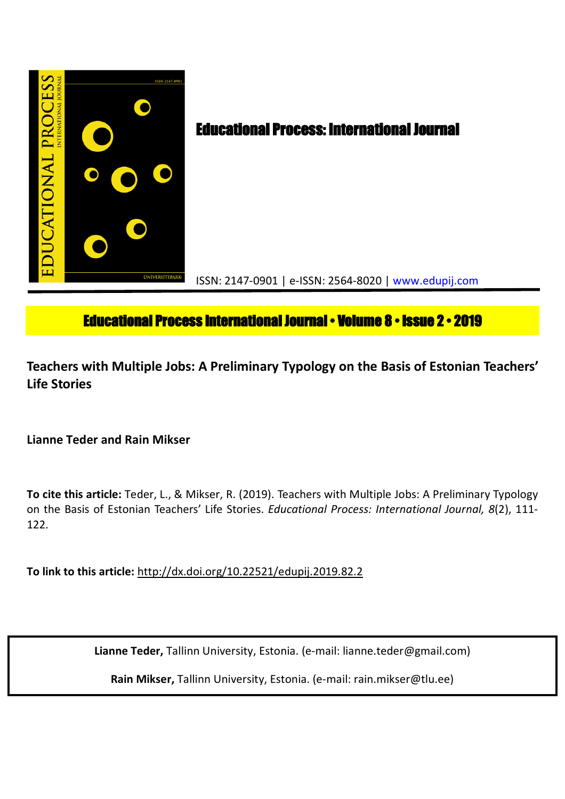

# **Educational Process International Journal • Volume 8 • Issue 2 • 2019**

**Teachers with Multiple Jobs: A Preliminary Typology on the Basis of Estonian Teachers' Life Stories**

**Lianne Teder and Rain Mikser**

**To cite this article:** Teder, L., & Mikser, R. (2019). Teachers with Multiple Jobs: A Preliminary Typology on the Basis of Estonian Teachers' Life Stories. *Educational Process: International Journal, 8*(2), 111- 122.

**To link to this article:** http://dx.doi.org/10.22521/edupij.2019.82.2

**Lianne Teder,** Tallinn University, Estonia. (e-mail: lianne.teder@gmail.com)

**Rain Mikser,** Tallinn University, Estonia. (e-mail: rain.mikser@tlu.ee)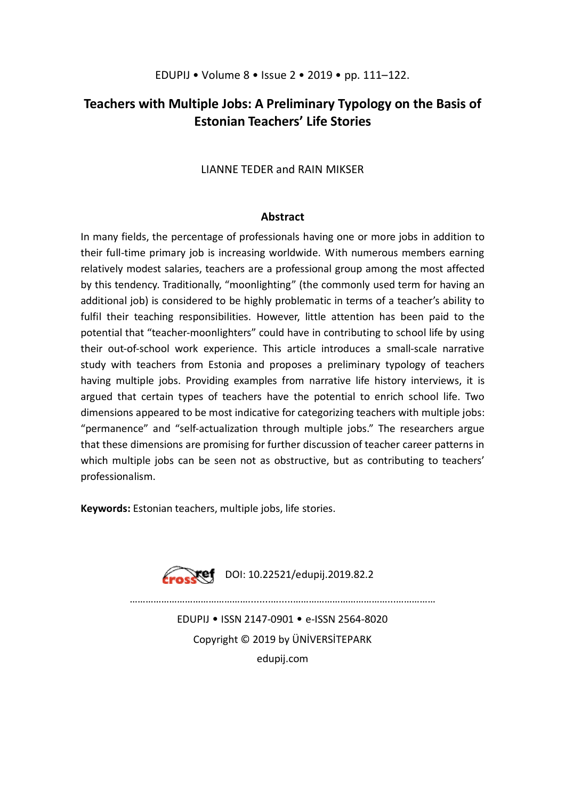## **Teachers with Multiple Jobs: A Preliminary Typology on the Basis of Estonian Teachers' Life Stories**

## LIANNE TEDER and RAIN MIKSER

## **Abstract**

In many fields, the percentage of professionals having one or more jobs in addition to their full-time primary job is increasing worldwide. With numerous members earning relatively modest salaries, teachers are a professional group among the most affected by this tendency. Traditionally, "moonlighting" (the commonly used term for having an additional job) is considered to be highly problematic in terms of a teacher's ability to fulfil their teaching responsibilities. However, little attention has been paid to the potential that "teacher-moonlighters" could have in contributing to school life by using their out-of-school work experience. This article introduces a small-scale narrative study with teachers from Estonia and proposes a preliminary typology of teachers having multiple jobs. Providing examples from narrative life history interviews, it is argued that certain types of teachers have the potential to enrich school life. Two dimensions appeared to be most indicative for categorizing teachers with multiple jobs: "permanence" and "self-actualization through multiple jobs." The researchers argue that these dimensions are promising for further discussion of teacher career patterns in which multiple jobs can be seen not as obstructive, but as contributing to teachers' professionalism.

**Keywords:** Estonian teachers, multiple jobs, life stories.



EDUPIJ • ISSN 2147-0901 • e-ISSN 2564-8020 Copyright © 2019 by ÜNİVERSİTEPARK edupij.com

………………………………………........….....………………………………...……………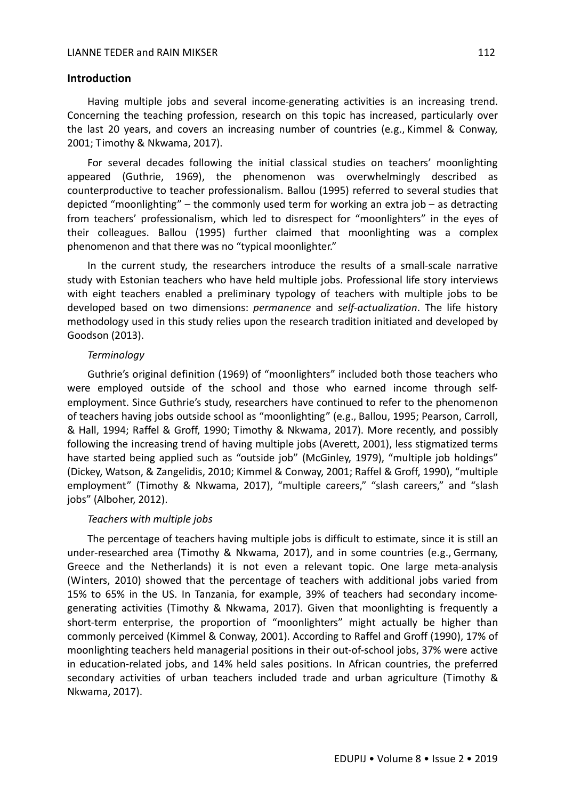#### **Introduction**

Having multiple jobs and several income-generating activities is an increasing trend. Concerning the teaching profession, research on this topic has increased, particularly over the last 20 years, and covers an increasing number of countries (e.g., Kimmel & Conway, 2001; Timothy & Nkwama, 2017).

For several decades following the initial classical studies on teachers' moonlighting appeared (Guthrie, 1969), the phenomenon was overwhelmingly described as counterproductive to teacher professionalism. Ballou (1995) referred to several studies that depicted "moonlighting" – the commonly used term for working an extra job – as detracting from teachers' professionalism, which led to disrespect for "moonlighters" in the eyes of their colleagues. Ballou (1995) further claimed that moonlighting was a complex phenomenon and that there was no "typical moonlighter."

In the current study, the researchers introduce the results of a small-scale narrative study with Estonian teachers who have held multiple jobs. Professional life story interviews with eight teachers enabled a preliminary typology of teachers with multiple jobs to be developed based on two dimensions: *permanence* and *self-actualization*. The life history methodology used in this study relies upon the research tradition initiated and developed by Goodson (2013).

#### *Terminology*

Guthrie's original definition (1969) of "moonlighters" included both those teachers who were employed outside of the school and those who earned income through selfemployment. Since Guthrie's study, researchers have continued to refer to the phenomenon of teachers having jobs outside school as "moonlighting" (e.g., Ballou, 1995; Pearson, Carroll, & Hall, 1994; Raffel & Groff, 1990; Timothy & Nkwama, 2017). More recently, and possibly following the increasing trend of having multiple jobs (Averett, 2001), less stigmatized terms have started being applied such as "outside job" (McGinley, 1979), "multiple job holdings" (Dickey, Watson, & Zangelidis, 2010; Kimmel & Conway, 2001; Raffel & Groff, 1990), "multiple employment" (Timothy & Nkwama, 2017), "multiple careers," "slash careers," and "slash jobs" (Alboher, 2012).

#### *Teachers with multiple jobs*

The percentage of teachers having multiple jobs is difficult to estimate, since it is still an under-researched area (Timothy & Nkwama, 2017), and in some countries (e.g., Germany, Greece and the Netherlands) it is not even a relevant topic. One large meta-analysis (Winters, 2010) showed that the percentage of teachers with additional jobs varied from 15% to 65% in the US. In Tanzania, for example, 39% of teachers had secondary incomegenerating activities (Timothy & Nkwama, 2017). Given that moonlighting is frequently a short-term enterprise, the proportion of "moonlighters" might actually be higher than commonly perceived (Kimmel & Conway, 2001). According to Raffel and Groff (1990), 17% of moonlighting teachers held managerial positions in their out-of-school jobs, 37% were active in education-related jobs, and 14% held sales positions. In African countries, the preferred secondary activities of urban teachers included trade and urban agriculture (Timothy & Nkwama, 2017).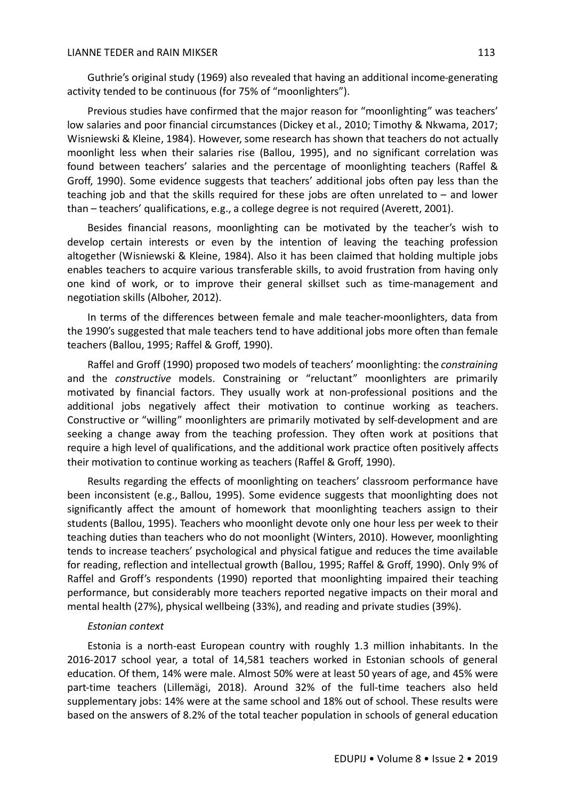Guthrie's original study (1969) also revealed that having an additional income-generating activity tended to be continuous (for 75% of "moonlighters").

Previous studies have confirmed that the major reason for "moonlighting" was teachers' low salaries and poor financial circumstances (Dickey et al., 2010; Timothy & Nkwama, 2017; Wisniewski & Kleine, 1984). However, some research has shown that teachers do not actually moonlight less when their salaries rise (Ballou, 1995), and no significant correlation was found between teachers' salaries and the percentage of moonlighting teachers (Raffel & Groff, 1990). Some evidence suggests that teachers' additional jobs often pay less than the teaching job and that the skills required for these jobs are often unrelated to – and lower than – teachers' qualifications, e.g., a college degree is not required (Averett, 2001).

Besides financial reasons, moonlighting can be motivated by the teacher's wish to develop certain interests or even by the intention of leaving the teaching profession altogether (Wisniewski & Kleine, 1984). Also it has been claimed that holding multiple jobs enables teachers to acquire various transferable skills, to avoid frustration from having only one kind of work, or to improve their general skillset such as time-management and negotiation skills (Alboher, 2012).

In terms of the differences between female and male teacher-moonlighters, data from the 1990's suggested that male teachers tend to have additional jobs more often than female teachers (Ballou, 1995; Raffel & Groff, 1990).

Raffel and Groff (1990) proposed two models of teachers' moonlighting: the *constraining* and the *constructive* models. Constraining or "reluctant" moonlighters are primarily motivated by financial factors. They usually work at non-professional positions and the additional jobs negatively affect their motivation to continue working as teachers. Constructive or "willing" moonlighters are primarily motivated by self-development and are seeking a change away from the teaching profession. They often work at positions that require a high level of qualifications, and the additional work practice often positively affects their motivation to continue working as teachers (Raffel & Groff, 1990).

Results regarding the effects of moonlighting on teachers' classroom performance have been inconsistent (e.g., Ballou, 1995). Some evidence suggests that moonlighting does not significantly affect the amount of homework that moonlighting teachers assign to their students (Ballou, 1995). Teachers who moonlight devote only one hour less per week to their teaching duties than teachers who do not moonlight (Winters, 2010). However, moonlighting tends to increase teachers' psychological and physical fatigue and reduces the time available for reading, reflection and intellectual growth (Ballou, 1995; Raffel & Groff, 1990). Only 9% of Raffel and Groff's respondents (1990) reported that moonlighting impaired their teaching performance, but considerably more teachers reported negative impacts on their moral and mental health (27%), physical wellbeing (33%), and reading and private studies (39%).

#### *Estonian context*

Estonia is a north-east European country with roughly 1.3 million inhabitants. In the 2016-2017 school year, a total of 14,581 teachers worked in Estonian schools of general education. Of them, 14% were male. Almost 50% were at least 50 years of age, and 45% were part-time teachers (Lillemägi, 2018). Around 32% of the full-time teachers also held supplementary jobs: 14% were at the same school and 18% out of school. These results were based on the answers of 8.2% of the total teacher population in schools of general education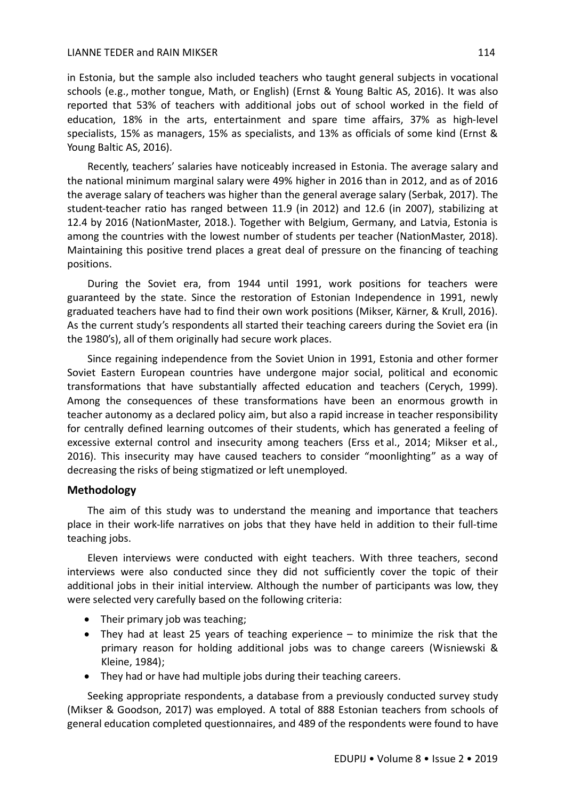#### LIANNE TEDER and RAIN MIKSER 114

in Estonia, but the sample also included teachers who taught general subjects in vocational schools (e.g., mother tongue, Math, or English) (Ernst & Young Baltic AS, 2016). It was also reported that 53% of teachers with additional jobs out of school worked in the field of education, 18% in the arts, entertainment and spare time affairs, 37% as high-level specialists, 15% as managers, 15% as specialists, and 13% as officials of some kind (Ernst & Young Baltic AS, 2016).

Recently, teachers' salaries have noticeably increased in Estonia. The average salary and the national minimum marginal salary were 49% higher in 2016 than in 2012, and as of 2016 the average salary of teachers was higher than the general average salary (Serbak, 2017). The student-teacher ratio has ranged between 11.9 (in 2012) and 12.6 (in 2007), stabilizing at 12.4 by 2016 (NationMaster, 2018.). Together with Belgium, Germany, and Latvia, Estonia is among the countries with the lowest number of students per teacher (NationMaster, 2018). Maintaining this positive trend places a great deal of pressure on the financing of teaching positions.

During the Soviet era, from 1944 until 1991, work positions for teachers were guaranteed by the state. Since the restoration of Estonian Independence in 1991, newly graduated teachers have had to find their own work positions (Mikser, Kärner, & Krull, 2016). As the current study's respondents all started their teaching careers during the Soviet era (in the 1980's), all of them originally had secure work places.

Since regaining independence from the Soviet Union in 1991, Estonia and other former Soviet Eastern European countries have undergone major social, political and economic transformations that have substantially affected education and teachers (Cerych, 1999). Among the consequences of these transformations have been an enormous growth in teacher autonomy as a declared policy aim, but also a rapid increase in teacher responsibility for centrally defined learning outcomes of their students, which has generated a feeling of excessive external control and insecurity among teachers (Erss et al., 2014; Mikser et al., 2016). This insecurity may have caused teachers to consider "moonlighting" as a way of decreasing the risks of being stigmatized or left unemployed.

## **Methodology**

The aim of this study was to understand the meaning and importance that teachers place in their work-life narratives on jobs that they have held in addition to their full-time teaching jobs.

Eleven interviews were conducted with eight teachers. With three teachers, second interviews were also conducted since they did not sufficiently cover the topic of their additional jobs in their initial interview. Although the number of participants was low, they were selected very carefully based on the following criteria:

- Their primary job was teaching;
- They had at least 25 years of teaching experience to minimize the risk that the primary reason for holding additional jobs was to change careers (Wisniewski & Kleine, 1984);
- They had or have had multiple jobs during their teaching careers.

Seeking appropriate respondents, a database from a previously conducted survey study (Mikser & Goodson, 2017) was employed. A total of 888 Estonian teachers from schools of general education completed questionnaires, and 489 of the respondents were found to have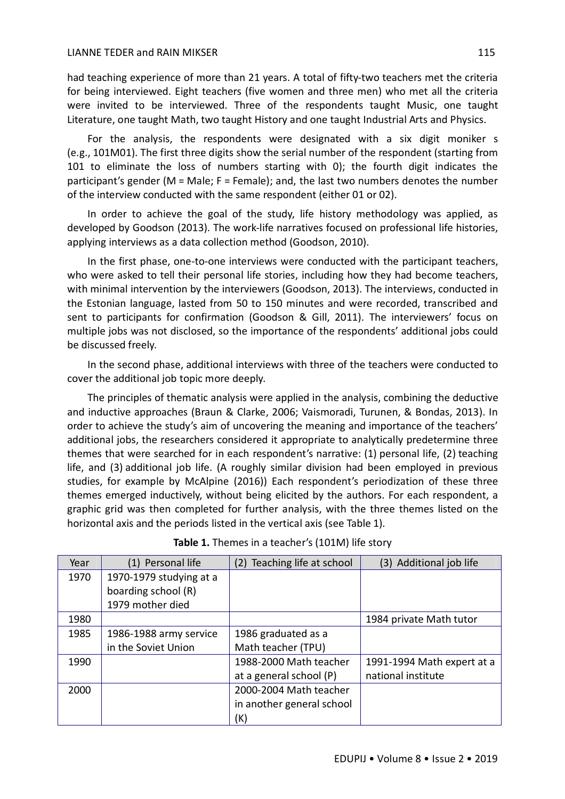had teaching experience of more than 21 years. A total of fifty-two teachers met the criteria for being interviewed. Eight teachers (five women and three men) who met all the criteria were invited to be interviewed. Three of the respondents taught Music, one taught Literature, one taught Math, two taught History and one taught Industrial Arts and Physics.

For the analysis, the respondents were designated with a six digit moniker s (e.g., 101M01). The first three digits show the serial number of the respondent (starting from 101 to eliminate the loss of numbers starting with 0); the fourth digit indicates the participant's gender (M = Male; F = Female); and, the last two numbers denotes the number of the interview conducted with the same respondent (either 01 or 02).

In order to achieve the goal of the study, life history methodology was applied, as developed by Goodson (2013). The work-life narratives focused on professional life histories, applying interviews as a data collection method (Goodson, 2010).

In the first phase, one-to-one interviews were conducted with the participant teachers, who were asked to tell their personal life stories, including how they had become teachers, with minimal intervention by the interviewers (Goodson, 2013). The interviews, conducted in the Estonian language, lasted from 50 to 150 minutes and were recorded, transcribed and sent to participants for confirmation (Goodson & Gill, 2011). The interviewers' focus on multiple jobs was not disclosed, so the importance of the respondents' additional jobs could be discussed freely.

In the second phase, additional interviews with three of the teachers were conducted to cover the additional job topic more deeply.

The principles of thematic analysis were applied in the analysis, combining the deductive and inductive approaches (Braun & Clarke, 2006; Vaismoradi, Turunen, & Bondas, 2013). In order to achieve the study's aim of uncovering the meaning and importance of the teachers' additional jobs, the researchers considered it appropriate to analytically predetermine three themes that were searched for in each respondent's narrative: (1) personal life, (2) teaching life, and (3) additional job life. (A roughly similar division had been employed in previous studies, for example by McAlpine (2016)) Each respondent's periodization of these three themes emerged inductively, without being elicited by the authors. For each respondent, a graphic grid was then completed for further analysis, with the three themes listed on the horizontal axis and the periods listed in the vertical axis (see Table 1).

| Year | Personal life           | Teaching life at school<br>(2) | (3) Additional job life    |
|------|-------------------------|--------------------------------|----------------------------|
| 1970 | 1970-1979 studying at a |                                |                            |
|      | boarding school (R)     |                                |                            |
|      | 1979 mother died        |                                |                            |
| 1980 |                         |                                | 1984 private Math tutor    |
| 1985 | 1986-1988 army service  | 1986 graduated as a            |                            |
|      | in the Soviet Union     | Math teacher (TPU)             |                            |
| 1990 |                         | 1988-2000 Math teacher         | 1991-1994 Math expert at a |
|      |                         | at a general school (P)        | national institute         |
| 2000 |                         | 2000-2004 Math teacher         |                            |
|      |                         | in another general school      |                            |
|      |                         | (K)                            |                            |

## **Table 1.** Themes in a teacher's (101M) life story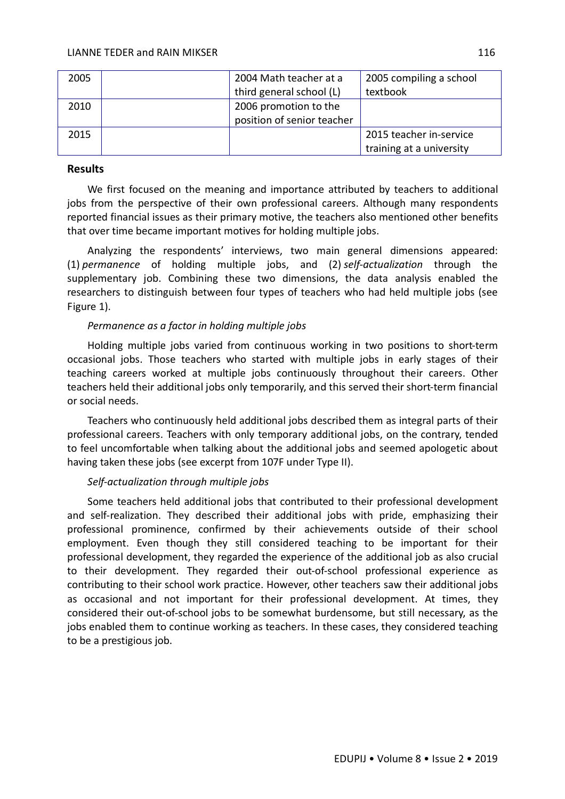| 2005 | 2004 Math teacher at a     | 2005 compiling a school  |
|------|----------------------------|--------------------------|
|      | third general school (L)   | textbook                 |
| 2010 | 2006 promotion to the      |                          |
|      | position of senior teacher |                          |
| 2015 |                            | 2015 teacher in-service  |
|      |                            | training at a university |

## **Results**

We first focused on the meaning and importance attributed by teachers to additional jobs from the perspective of their own professional careers. Although many respondents reported financial issues as their primary motive, the teachers also mentioned other benefits that over time became important motives for holding multiple jobs.

Analyzing the respondents' interviews, two main general dimensions appeared: (1) *permanence* of holding multiple jobs, and (2) *self-actualization* through the supplementary job. Combining these two dimensions, the data analysis enabled the researchers to distinguish between four types of teachers who had held multiple jobs (see Figure 1).

## *Permanence as a factor in holding multiple jobs*

Holding multiple jobs varied from continuous working in two positions to short-term occasional jobs. Those teachers who started with multiple jobs in early stages of their teaching careers worked at multiple jobs continuously throughout their careers. Other teachers held their additional jobs only temporarily, and this served their short-term financial or social needs.

Teachers who continuously held additional jobs described them as integral parts of their professional careers. Teachers with only temporary additional jobs, on the contrary, tended to feel uncomfortable when talking about the additional jobs and seemed apologetic about having taken these jobs (see excerpt from 107F under Type II).

## *Self-actualization through multiple jobs*

Some teachers held additional jobs that contributed to their professional development and self-realization. They described their additional jobs with pride, emphasizing their professional prominence, confirmed by their achievements outside of their school employment. Even though they still considered teaching to be important for their professional development, they regarded the experience of the additional job as also crucial to their development. They regarded their out-of-school professional experience as contributing to their school work practice. However, other teachers saw their additional jobs as occasional and not important for their professional development. At times, they considered their out-of-school jobs to be somewhat burdensome, but still necessary, as the jobs enabled them to continue working as teachers. In these cases, they considered teaching to be a prestigious job.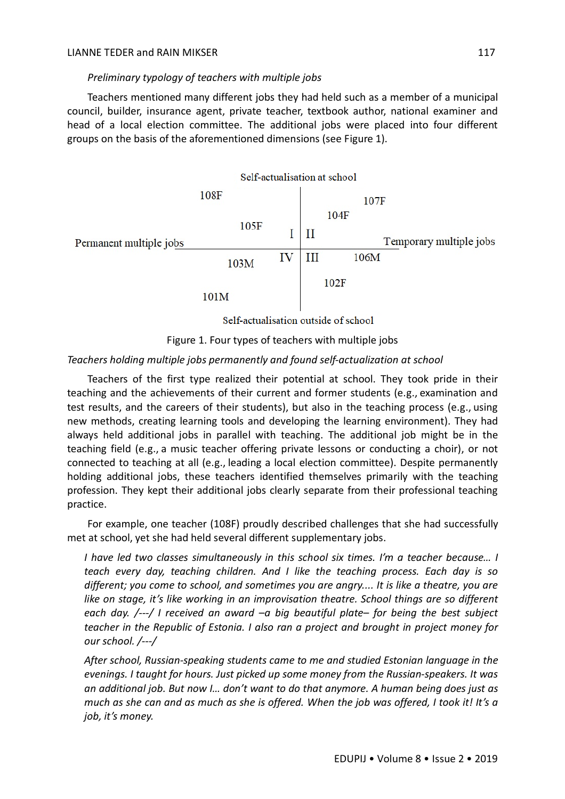## *Preliminary typology of teachers with multiple jobs*

Teachers mentioned many different jobs they had held such as a member of a municipal council, builder, insurance agent, private teacher, textbook author, national examiner and head of a local election committee. The additional jobs were placed into four different groups on the basis of the aforementioned dimensions (see Figure 1).



Self-actualisation outside of school



## *Teachers holding multiple jobs permanently and found self-actualization at school*

Teachers of the first type realized their potential at school. They took pride in their teaching and the achievements of their current and former students (e.g., examination and test results, and the careers of their students), but also in the teaching process (e.g., using new methods, creating learning tools and developing the learning environment). They had always held additional jobs in parallel with teaching. The additional job might be in the teaching field (e.g., a music teacher offering private lessons or conducting a choir), or not connected to teaching at all (e.g., leading a local election committee). Despite permanently holding additional jobs, these teachers identified themselves primarily with the teaching profession. They kept their additional jobs clearly separate from their professional teaching practice.

For example, one teacher (108F) proudly described challenges that she had successfully met at school, yet she had held several different supplementary jobs.

*I have led two classes simultaneously in this school six times. I'm a teacher because… I teach every day, teaching children. And I like the teaching process. Each day is so different; you come to school, and sometimes you are angry.... It is like a theatre, you are like on stage, it's like working in an improvisation theatre. School things are so different each day. /---/ I received an award –a big beautiful plate– for being the best subject teacher in the Republic of Estonia. I also ran a project and brought in project money for our school. /---/*

*After school, Russian-speaking students came to me and studied Estonian language in the evenings. I taught for hours. Just picked up some money from the Russian-speakers. It was an additional job. But now I… don't want to do that anymore. A human being does just as much as she can and as much as she is offered. When the job was offered, I took it! It's a job, it's money.*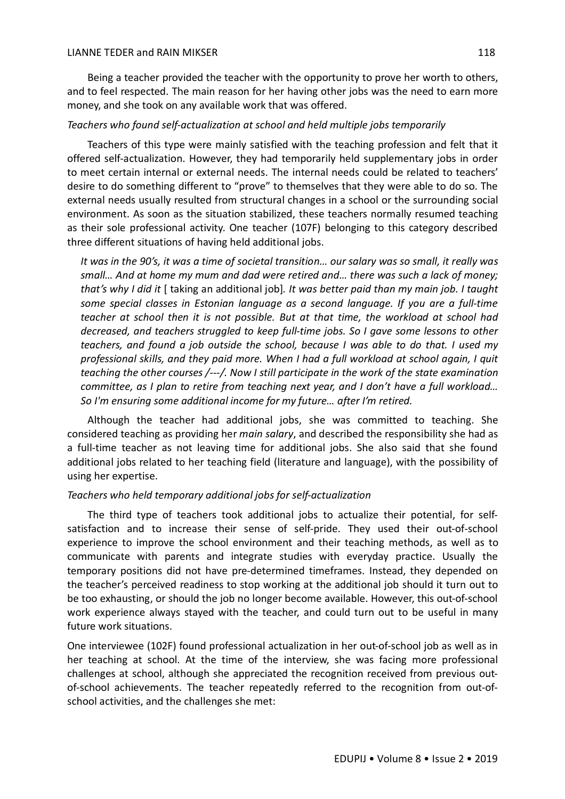Being a teacher provided the teacher with the opportunity to prove her worth to others, and to feel respected. The main reason for her having other jobs was the need to earn more money, and she took on any available work that was offered.

## *Teachers who found self-actualization at school and held multiple jobs temporarily*

Teachers of this type were mainly satisfied with the teaching profession and felt that it offered self-actualization. However, they had temporarily held supplementary jobs in order to meet certain internal or external needs. The internal needs could be related to teachers' desire to do something different to "prove" to themselves that they were able to do so. The external needs usually resulted from structural changes in a school or the surrounding social environment. As soon as the situation stabilized, these teachers normally resumed teaching as their sole professional activity. One teacher (107F) belonging to this category described three different situations of having held additional jobs.

*It was in the 90's, it was a time of societal transition… our salary was so small, it really was small… And at home my mum and dad were retired and… there was such a lack of money; that's why I did it* [ taking an additional job]*. It was better paid than my main job. I taught some special classes in Estonian language as a second language. If you are a full-time teacher at school then it is not possible. But at that time, the workload at school had decreased, and teachers struggled to keep full-time jobs. So I gave some lessons to other teachers, and found a job outside the school, because I was able to do that. I used my professional skills, and they paid more. When I had a full workload at school again, I quit teaching the other courses /---/. Now I still participate in the work of the state examination committee, as I plan to retire from teaching next year, and I don't have a full workload… So I'm ensuring some additional income for my future… after I'm retired.*

Although the teacher had additional jobs, she was committed to teaching. She considered teaching as providing her *main salary*, and described the responsibility she had as a full-time teacher as not leaving time for additional jobs. She also said that she found additional jobs related to her teaching field (literature and language), with the possibility of using her expertise.

#### *Teachers who held temporary additional jobs for self-actualization*

The third type of teachers took additional jobs to actualize their potential, for selfsatisfaction and to increase their sense of self-pride. They used their out-of-school experience to improve the school environment and their teaching methods, as well as to communicate with parents and integrate studies with everyday practice. Usually the temporary positions did not have pre-determined timeframes. Instead, they depended on the teacher's perceived readiness to stop working at the additional job should it turn out to be too exhausting, or should the job no longer become available. However, this out-of-school work experience always stayed with the teacher, and could turn out to be useful in many future work situations.

One interviewee (102F) found professional actualization in her out-of-school job as well as in her teaching at school. At the time of the interview, she was facing more professional challenges at school, although she appreciated the recognition received from previous outof-school achievements. The teacher repeatedly referred to the recognition from out-ofschool activities, and the challenges she met: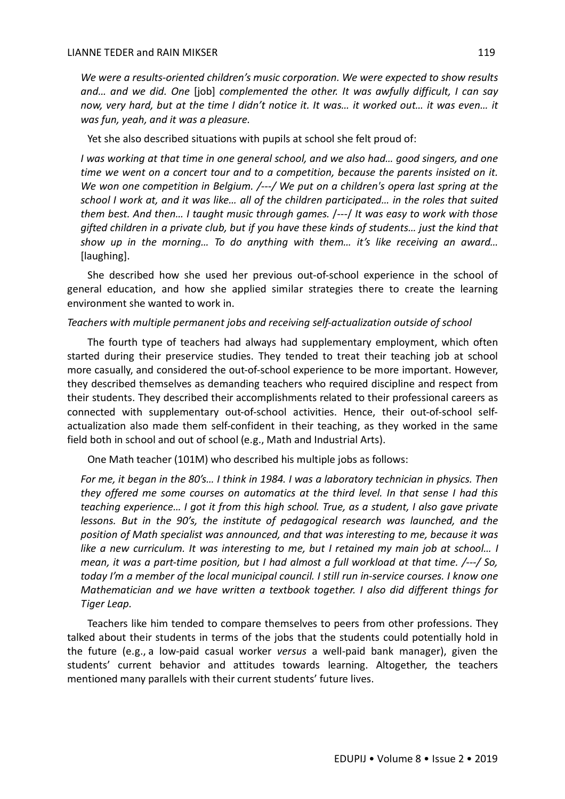*We were a results-oriented children's music corporation. We were expected to show results and… and we did. One* [job] *complemented the other. It was awfully difficult, I can say now, very hard, but at the time I didn't notice it. It was… it worked out… it was even… it was fun, yeah, and it was a pleasure.*

Yet she also described situations with pupils at school she felt proud of:

*I was working at that time in one general school, and we also had… good singers, and one time we went on a concert tour and to a competition, because the parents insisted on it. We won one competition in Belgium. /---/ We put on a children's opera last spring at the school I work at, and it was like… all of the children participated… in the roles that suited them best. And then… I taught music through games.* /---/ *It was easy to work with those gifted children in a private club, but if you have these kinds of students… just the kind that show up in the morning… To do anything with them… it's like receiving an award…*  [laughing].

She described how she used her previous out-of-school experience in the school of general education, and how she applied similar strategies there to create the learning environment she wanted to work in.

#### *Teachers with multiple permanent jobs and receiving self-actualization outside of school*

The fourth type of teachers had always had supplementary employment, which often started during their preservice studies. They tended to treat their teaching job at school more casually, and considered the out-of-school experience to be more important. However, they described themselves as demanding teachers who required discipline and respect from their students. They described their accomplishments related to their professional careers as connected with supplementary out-of-school activities. Hence, their out-of-school selfactualization also made them self-confident in their teaching, as they worked in the same field both in school and out of school (e.g., Math and Industrial Arts).

One Math teacher (101M) who described his multiple jobs as follows:

*For me, it began in the 80's… I think in 1984. I was a laboratory technician in physics. Then they offered me some courses on automatics at the third level. In that sense I had this teaching experience… I got it from this high school. True, as a student, I also gave private lessons. But in the 90's, the institute of pedagogical research was launched, and the position of Math specialist was announced, and that was interesting to me, because it was like a new curriculum. It was interesting to me, but I retained my main job at school… I mean, it was a part-time position, but I had almost a full workload at that time. /---/ So, today I'm a member of the local municipal council. I still run in-service courses. I know one Mathematician and we have written a textbook together. I also did different things for Tiger Leap.*

Teachers like him tended to compare themselves to peers from other professions. They talked about their students in terms of the jobs that the students could potentially hold in the future (e.g., a low-paid casual worker *versus* a well-paid bank manager), given the students' current behavior and attitudes towards learning. Altogether, the teachers mentioned many parallels with their current students' future lives.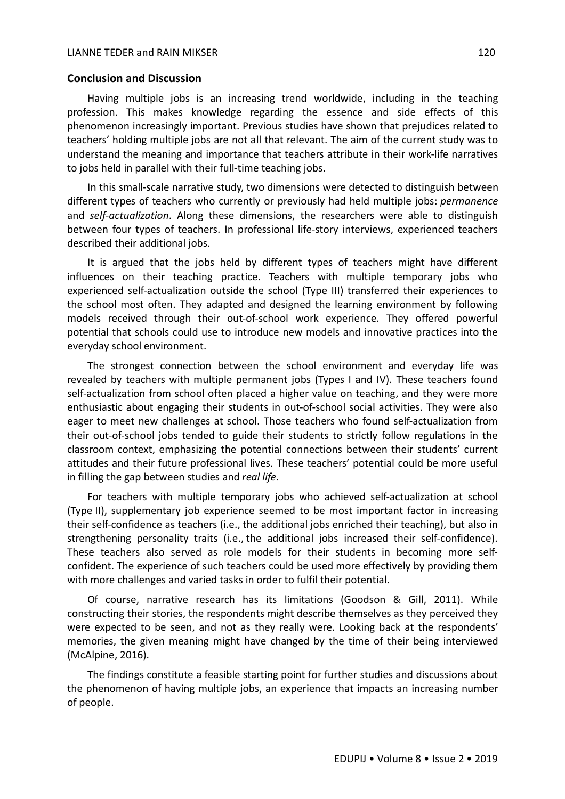#### **Conclusion and Discussion**

Having multiple jobs is an increasing trend worldwide, including in the teaching profession. This makes knowledge regarding the essence and side effects of this phenomenon increasingly important. Previous studies have shown that prejudices related to teachers' holding multiple jobs are not all that relevant. The aim of the current study was to understand the meaning and importance that teachers attribute in their work-life narratives to jobs held in parallel with their full-time teaching jobs.

In this small-scale narrative study, two dimensions were detected to distinguish between different types of teachers who currently or previously had held multiple jobs: *permanence* and *self-actualization*. Along these dimensions, the researchers were able to distinguish between four types of teachers. In professional life-story interviews, experienced teachers described their additional jobs.

It is argued that the jobs held by different types of teachers might have different influences on their teaching practice. Teachers with multiple temporary jobs who experienced self-actualization outside the school (Type III) transferred their experiences to the school most often. They adapted and designed the learning environment by following models received through their out-of-school work experience. They offered powerful potential that schools could use to introduce new models and innovative practices into the everyday school environment.

The strongest connection between the school environment and everyday life was revealed by teachers with multiple permanent jobs (Types I and IV). These teachers found self-actualization from school often placed a higher value on teaching, and they were more enthusiastic about engaging their students in out-of-school social activities. They were also eager to meet new challenges at school. Those teachers who found self-actualization from their out-of-school jobs tended to guide their students to strictly follow regulations in the classroom context, emphasizing the potential connections between their students' current attitudes and their future professional lives. These teachers' potential could be more useful in filling the gap between studies and *real life*.

For teachers with multiple temporary jobs who achieved self-actualization at school (Type II), supplementary job experience seemed to be most important factor in increasing their self-confidence as teachers (i.e., the additional jobs enriched their teaching), but also in strengthening personality traits (i.e., the additional jobs increased their self-confidence). These teachers also served as role models for their students in becoming more selfconfident. The experience of such teachers could be used more effectively by providing them with more challenges and varied tasks in order to fulfil their potential.

Of course, narrative research has its limitations (Goodson & Gill, 2011). While constructing their stories, the respondents might describe themselves as they perceived they were expected to be seen, and not as they really were. Looking back at the respondents' memories, the given meaning might have changed by the time of their being interviewed (McAlpine, 2016).

The findings constitute a feasible starting point for further studies and discussions about the phenomenon of having multiple jobs, an experience that impacts an increasing number of people.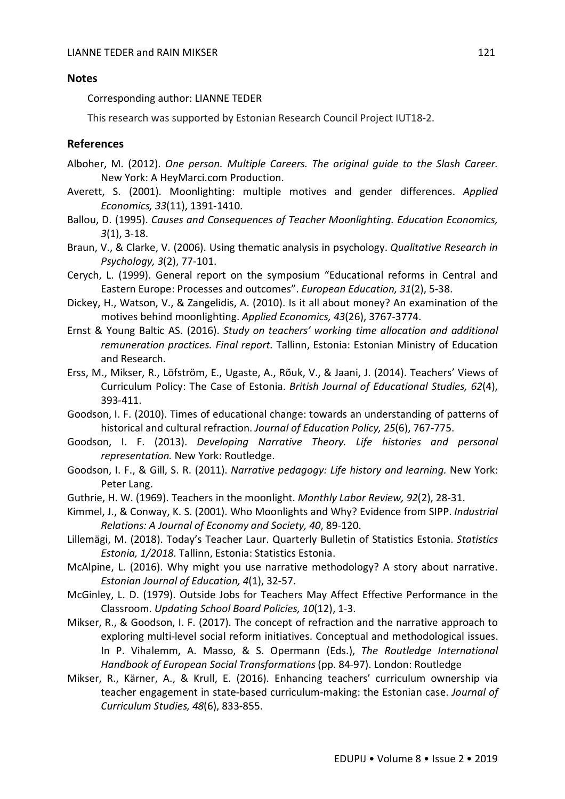#### **Notes**

Corresponding author: LIANNE TEDER

This research was supported by Estonian Research Council Project IUT18-2.

## **References**

- Alboher, M. (2012). *One person. Multiple Careers. The original guide to the Slash Career.* New York: A HeyMarci.com Production.
- Averett, S. (2001). Moonlighting: multiple motives and gender differences. *Applied Economics, 33*(11), 1391-1410.
- Ballou, D. (1995). *Causes and Consequences of Teacher Moonlighting. Education Economics, 3*(1), 3-18.
- Braun, V., & Clarke, V. (2006). Using thematic analysis in psychology. *Qualitative Research in Psychology, 3*(2), 77-101.
- Cerych, L. (1999). General report on the symposium "Educational reforms in Central and Eastern Europe: Processes and outcomes". *European Education, 31*(2), 5-38.
- Dickey, H., Watson, V., & Zangelidis, A. (2010). Is it all about money? An examination of the motives behind moonlighting. *Applied Economics, 43*(26), 3767-3774.
- Ernst & Young Baltic AS. (2016). *Study on teachers' working time allocation and additional remuneration practices. Final report.* Tallinn, Estonia: Estonian Ministry of Education and Research.
- Erss, M., Mikser, R., Löfström, E., Ugaste, A., Rõuk, V., & Jaani, J. (2014). Teachers' Views of Curriculum Policy: The Case of Estonia. *British Journal of Educational Studies, 62*(4), 393-411.
- Goodson, I. F. (2010). Times of educational change: towards an understanding of patterns of historical and cultural refraction. *Journal of Education Policy, 25*(6), 767-775.
- Goodson, I. F. (2013). *Developing Narrative Theory. Life histories and personal representation.* New York: Routledge.
- Goodson, I. F., & Gill, S. R. (2011). *Narrative pedagogy: Life history and learning.* New York: Peter Lang.
- Guthrie, H. W. (1969). Teachers in the moonlight. *Monthly Labor Review, 92*(2), 28-31.
- Kimmel, J., & Conway, K. S. (2001). Who Moonlights and Why? Evidence from SIPP. *Industrial Relations: A Journal of Economy and Society, 40*, 89-120.

Lillemägi, M. (2018). Today's Teacher Laur. Quarterly Bulletin of Statistics Estonia. *Statistics Estonia, 1/2018*. Tallinn, Estonia: Statistics Estonia.

- McAlpine, L. (2016). Why might you use narrative methodology? A story about narrative. *Estonian Journal of Education, 4*(1), 32-57.
- McGinley, L. D. (1979). Outside Jobs for Teachers May Affect Effective Performance in the Classroom. *Updating School Board Policies, 10*(12), 1-3.
- Mikser, R., & Goodson, I. F. (2017). The concept of refraction and the narrative approach to exploring multi-level social reform initiatives. Conceptual and methodological issues. In P. Vihalemm, A. Masso, & S. Opermann (Eds.), *The Routledge International Handbook of European Social Transformations* (pp. 84-97). London: Routledge
- Mikser, R., Kärner, A., & Krull, E. (2016). Enhancing teachers' curriculum ownership via teacher engagement in state-based curriculum-making: the Estonian case. *Journal of Curriculum Studies, 48*(6), 833-855.